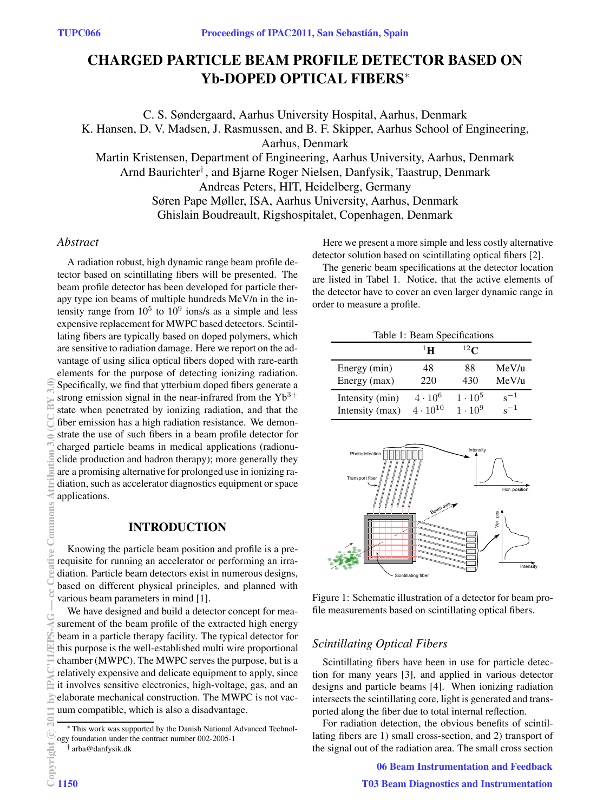# **CHARGED PARTICLE BEAM PROFILE DETECTOR BASED ON Yb-DOPED OPTICAL FIBERS**<sup>∗</sup>

C. S. Søndergaard, Aarhus University Hospital, Aarhus, Denmark

K. Hansen, D. V. Madsen, J. Rasmussen, and B. F. Skipper, Aarhus School of Engineering,

Aarhus, Denmark

Martin Kristensen, Department of Engineering, Aarhus University, Aarhus, Denmark Arnd Baurichter<sup>†</sup>, and Bjarne Roger Nielsen, Danfysik, Taastrup, Denmark Andreas Peters, HIT, Heidelberg, Germany

Søren Pape Møller, ISA, Aarhus University, Aarhus, Denmark Ghislain Boudreault, Rigshospitalet, Copenhagen, Denmark

## *Abstract*

A radiation robust, high dynamic range beam profile detector based on scintillating fibers will be presented. The beam profile detector has been developed for particle therapy type ion beams of multiple hundreds MeV/n in the intensity range from  $10^5$  to  $10^9$  ions/s as a simple and less expensive replacement for MWPC based detectors. Scintillating fibers are typically based on doped polymers, which are sensitive to radiation damage. Here we report on the advantage of using silica optical fibers doped with rare-earth elements for the purpose of detecting ionizing radiation. Specifically, we find that ytterbium doped fibers generate a strong emission signal in the near-infrared from the  $Yb^{3+}$ state when penetrated by ionizing radiation, and that the fiber emission has a high radiation resistance. We demonstrate the use of such fibers in a beam profile detector for charged particle beams in medical applications (radionuclide production and hadron therapy); more generally they are a promising alternative for prolonged use in ionizing radiation, such as accelerator diagnostics equipment or space applications.

# **INTRODUCTION**

Knowing the particle beam position and profile is a prerequisite for running an accelerator or performing an irradiation. Particle beam detectors exist in numerous designs, based on different physical principles, and planned with various beam parameters in mind [1].

We have designed and build a detector concept for measurement of the beam profile of the extracted high energy beam in a particle therapy facility. The typical detector for this purpose is the well-established multi wire proportional chamber (MWPC). The MWPC serves the purpose, but is a relatively expensive and delicate equipment to apply, since it involves sensitive electronics, high-voltage, gas, and an elaborate mechanical construction. The MWPC is not vacuum compatible, which is also a disadvantage.

<sup>∗</sup> This work was supported by the Danish National Advanced Technology foundation under the contract number 002-2005-1

Here we present a more simple and less costly alternative detector solution based on scintillating optical fibers [2].

The generic beam specifications at the detector location are listed in Tabel 1. Notice, that the active elements of the detector have to cover an even larger dynamic range in order to measure a profile.

| Table 1: Beam Specifications |                   |                |              |
|------------------------------|-------------------|----------------|--------------|
|                              | $1\mathbf{H}$     | $^{12}$ C      |              |
| Energy (min)                 | 48                | 88             | MeV/u        |
| Energy (max)                 | 220               | 430            | MeV/u        |
| Intensity (min)              | $4 \cdot 10^6$    | $1 \cdot 10^5$ | $s^{-1}$     |
| Intensity (max)              | $4 \cdot 10^{10}$ | $1 \cdot 10^9$ | $\sqrt{c}-1$ |



Figure 1: Schematic illustration of a detector for beam profile measurements based on scintillating optical fibers.

# *Scintillating Optical Fibers*

Scintillating fibers have been in use for particle detection for many years [3], and applied in various detector designs and particle beams [4]. When ionizing radiation intersects the scintillating core, light is generated and transported along the fiber due to total internal reflection.

For radiation detection, the obvious benefits of scintillating fibers are 1) small cross-section, and 2) transport of the signal out of the radiation area. The small cross section

06 Beam Instrumentation and Feedback

<sup>†</sup> arba@danfysik.dk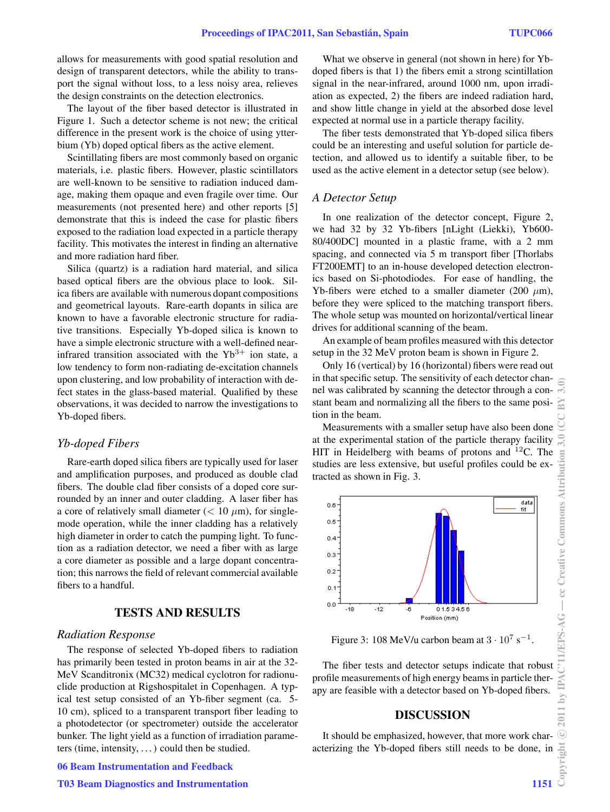allows for measurements with good spatial resolution and design of transparent detectors, while the ability to transport the signal without loss, to a less noisy area, relieves the design constraints on the detection electronics.

The layout of the fiber based detector is illustrated in Figure 1. Such a detector scheme is not new; the critical difference in the present work is the choice of using ytterbium (Yb) doped optical fibers as the active element.

Scintillating fibers are most commonly based on organic materials, i.e. plastic fibers. However, plastic scintillators are well-known to be sensitive to radiation induced damage, making them opaque and even fragile over time. Our measurements (not presented here) and other reports [5] demonstrate that this is indeed the case for plastic fibers exposed to the radiation load expected in a particle therapy facility. This motivates the interest in finding an alternative and more radiation hard fiber.

Silica (quartz) is a radiation hard material, and silica based optical fibers are the obvious place to look. Silica fibers are available with numerous dopant compositions and geometrical layouts. Rare-earth dopants in silica are known to have a favorable electronic structure for radiative transitions. Especially Yb-doped silica is known to have a simple electronic structure with a well-defined nearinfrared transition associated with the  $Yb^{3+}$  ion state, a low tendency to form non-radiating de-excitation channels upon clustering, and low probability of interaction with defect states in the glass-based material. Qualified by these observations, it was decided to narrow the investigations to Yb-doped fibers.

### *Yb-doped Fibers*

Rare-earth doped silica fibers are typically used for laser and amplification purposes, and produced as double clad fibers. The double clad fiber consists of a doped core surrounded by an inner and outer cladding. A laser fiber has a core of relatively small diameter  $(< 10 \mu m)$ , for singlemode operation, while the inner cladding has a relatively high diameter in order to catch the pumping light. To function as a radiation detector, we need a fiber with as large a core diameter as possible and a large dopant concentration; this narrows the field of relevant commercial available fibers to a handful.

# **TESTS AND RESULTS**

## *Radiation Response*

The response of selected Yb-doped fibers to radiation has primarily been tested in proton beams in air at the 32- MeV Scanditronix (MC32) medical cyclotron for radionuclide production at Rigshospitalet in Copenhagen. A typical test setup consisted of an Yb-fiber segment (ca. 5- 10 cm), spliced to a transparent transport fiber leading to a photodetector (or spectrometer) outside the accelerator bunker. The light yield as a function of irradiation parameters (time, intensity,  $\ldots$ ) could then be studied.

06 Beam Instrumentation and Feedback

#### T03 Beam Diagnostics and Instrumentation 1151

What we observe in general (not shown in here) for Ybdoped fibers is that 1) the fibers emit a strong scintillation signal in the near-infrared, around 1000 nm, upon irradiation as expected, 2) the fibers are indeed radiation hard, and show little change in yield at the absorbed dose level expected at normal use in a particle therapy facility.

The fiber tests demonstrated that Yb-doped silica fibers could be an interesting and useful solution for particle detection, and allowed us to identify a suitable fiber, to be used as the active element in a detector setup (see below).

## *A Detector Setup*

In one realization of the detector concept, Figure 2, we had 32 by 32 Yb-fibers [nLight (Liekki), Yb600- 80/400DC] mounted in a plastic frame, with a 2 mm spacing, and connected via 5 m transport fiber [Thorlabs FT200EMT] to an in-house developed detection electronics based on Si-photodiodes. For ease of handling, the Yb-fibers were etched to a smaller diameter (200  $\mu$ m), before they were spliced to the matching transport fibers. The whole setup was mounted on horizontal/vertical linear drives for additional scanning of the beam.

An example of beam profiles measured with this detector setup in the 32 MeV proton beam is shown in Figure 2.

Only 16 (vertical) by 16 (horizontal) fibers were read out in that specific setup. The sensitivity of each detector channel was calibrated by scanning the detector through a constant beam and normalizing all the fibers to the same position in the beam.

Measurements with a smaller setup have also been done at the experimental station of the particle therapy facility HIT in Heidelberg with beams of protons and  $^{12}$ C. The studies are less extensive, but useful profiles could be extracted as shown in Fig. 3.



Figure 3: 108 MeV/u carbon beam at  $3 \cdot 10^7$  s<sup>-1</sup>.

The fiber tests and detector setups indicate that robust profile measurements of high energy beams in particle therapy are feasible with a detector based on Yb-doped fibers.

#### **DISCUSSION**

It should be emphasized, however, that more work characterizing the Yb-doped fibers still needs to be done, in